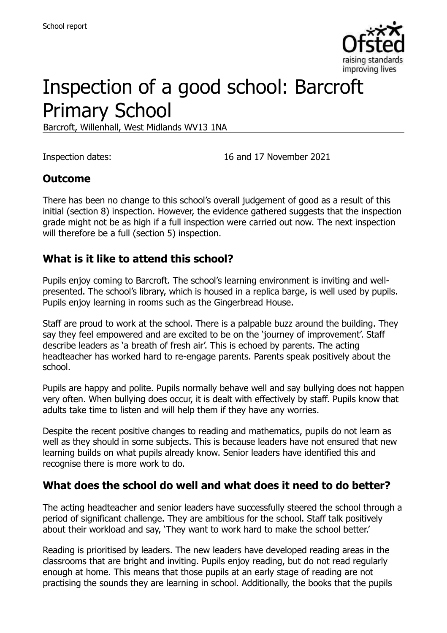

# Inspection of a good school: Barcroft Primary School

Barcroft, Willenhall, West Midlands WV13 1NA

Inspection dates: 16 and 17 November 2021

#### **Outcome**

There has been no change to this school's overall judgement of good as a result of this initial (section 8) inspection. However, the evidence gathered suggests that the inspection grade might not be as high if a full inspection were carried out now. The next inspection will therefore be a full (section 5) inspection.

#### **What is it like to attend this school?**

Pupils enjoy coming to Barcroft. The school's learning environment is inviting and wellpresented. The school's library, which is housed in a replica barge, is well used by pupils. Pupils enjoy learning in rooms such as the Gingerbread House.

Staff are proud to work at the school. There is a palpable buzz around the building. They say they feel empowered and are excited to be on the 'journey of improvement'. Staff describe leaders as 'a breath of fresh air'. This is echoed by parents. The acting headteacher has worked hard to re-engage parents. Parents speak positively about the school.

Pupils are happy and polite. Pupils normally behave well and say bullying does not happen very often. When bullying does occur, it is dealt with effectively by staff. Pupils know that adults take time to listen and will help them if they have any worries.

Despite the recent positive changes to reading and mathematics, pupils do not learn as well as they should in some subjects. This is because leaders have not ensured that new learning builds on what pupils already know. Senior leaders have identified this and recognise there is more work to do.

#### **What does the school do well and what does it need to do better?**

The acting headteacher and senior leaders have successfully steered the school through a period of significant challenge. They are ambitious for the school. Staff talk positively about their workload and say, 'They want to work hard to make the school better.'

Reading is prioritised by leaders. The new leaders have developed reading areas in the classrooms that are bright and inviting. Pupils enjoy reading, but do not read regularly enough at home. This means that those pupils at an early stage of reading are not practising the sounds they are learning in school. Additionally, the books that the pupils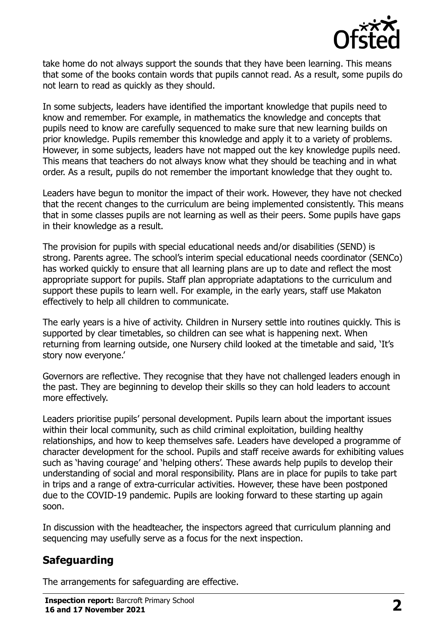

take home do not always support the sounds that they have been learning. This means that some of the books contain words that pupils cannot read. As a result, some pupils do not learn to read as quickly as they should.

In some subjects, leaders have identified the important knowledge that pupils need to know and remember. For example, in mathematics the knowledge and concepts that pupils need to know are carefully sequenced to make sure that new learning builds on prior knowledge. Pupils remember this knowledge and apply it to a variety of problems. However, in some subjects, leaders have not mapped out the key knowledge pupils need. This means that teachers do not always know what they should be teaching and in what order. As a result, pupils do not remember the important knowledge that they ought to.

Leaders have begun to monitor the impact of their work. However, they have not checked that the recent changes to the curriculum are being implemented consistently. This means that in some classes pupils are not learning as well as their peers. Some pupils have gaps in their knowledge as a result.

The provision for pupils with special educational needs and/or disabilities (SEND) is strong. Parents agree. The school's interim special educational needs coordinator (SENCo) has worked quickly to ensure that all learning plans are up to date and reflect the most appropriate support for pupils. Staff plan appropriate adaptations to the curriculum and support these pupils to learn well. For example, in the early years, staff use Makaton effectively to help all children to communicate.

The early years is a hive of activity. Children in Nursery settle into routines quickly. This is supported by clear timetables, so children can see what is happening next. When returning from learning outside, one Nursery child looked at the timetable and said, 'It's story now everyone.'

Governors are reflective. They recognise that they have not challenged leaders enough in the past. They are beginning to develop their skills so they can hold leaders to account more effectively.

Leaders prioritise pupils' personal development. Pupils learn about the important issues within their local community, such as child criminal exploitation, building healthy relationships, and how to keep themselves safe. Leaders have developed a programme of character development for the school. Pupils and staff receive awards for exhibiting values such as 'having courage' and 'helping others'. These awards help pupils to develop their understanding of social and moral responsibility. Plans are in place for pupils to take part in trips and a range of extra-curricular activities. However, these have been postponed due to the COVID-19 pandemic. Pupils are looking forward to these starting up again soon.

In discussion with the headteacher, the inspectors agreed that curriculum planning and sequencing may usefully serve as a focus for the next inspection.

# **Safeguarding**

The arrangements for safeguarding are effective.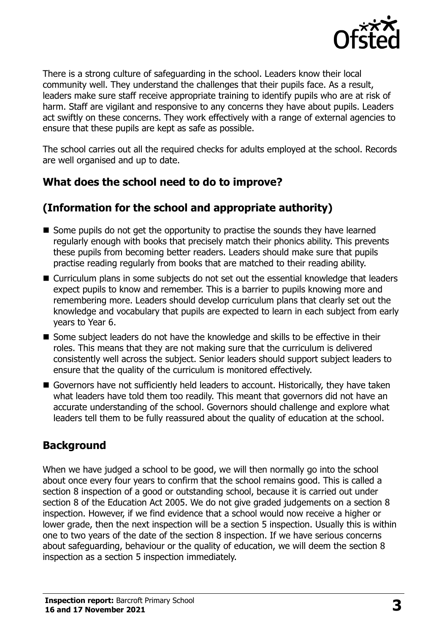

There is a strong culture of safeguarding in the school. Leaders know their local community well. They understand the challenges that their pupils face. As a result, leaders make sure staff receive appropriate training to identify pupils who are at risk of harm. Staff are vigilant and responsive to any concerns they have about pupils. Leaders act swiftly on these concerns. They work effectively with a range of external agencies to ensure that these pupils are kept as safe as possible.

The school carries out all the required checks for adults employed at the school. Records are well organised and up to date.

# **What does the school need to do to improve?**

# **(Information for the school and appropriate authority)**

- Some pupils do not get the opportunity to practise the sounds they have learned regularly enough with books that precisely match their phonics ability. This prevents these pupils from becoming better readers. Leaders should make sure that pupils practise reading regularly from books that are matched to their reading ability.
- Curriculum plans in some subjects do not set out the essential knowledge that leaders expect pupils to know and remember. This is a barrier to pupils knowing more and remembering more. Leaders should develop curriculum plans that clearly set out the knowledge and vocabulary that pupils are expected to learn in each subject from early years to Year 6.
- Some subject leaders do not have the knowledge and skills to be effective in their roles. This means that they are not making sure that the curriculum is delivered consistently well across the subject. Senior leaders should support subject leaders to ensure that the quality of the curriculum is monitored effectively.
- Governors have not sufficiently held leaders to account. Historically, they have taken what leaders have told them too readily. This meant that governors did not have an accurate understanding of the school. Governors should challenge and explore what leaders tell them to be fully reassured about the quality of education at the school.

# **Background**

When we have judged a school to be good, we will then normally go into the school about once every four years to confirm that the school remains good. This is called a section 8 inspection of a good or outstanding school, because it is carried out under section 8 of the Education Act 2005. We do not give graded judgements on a section 8 inspection. However, if we find evidence that a school would now receive a higher or lower grade, then the next inspection will be a section 5 inspection. Usually this is within one to two years of the date of the section 8 inspection. If we have serious concerns about safeguarding, behaviour or the quality of education, we will deem the section 8 inspection as a section 5 inspection immediately.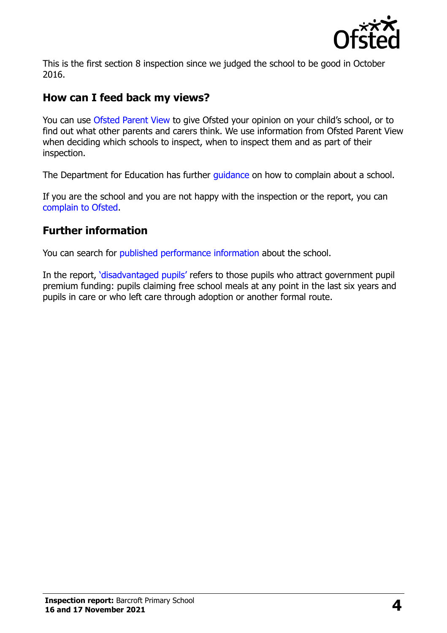

This is the first section 8 inspection since we judged the school to be good in October 2016.

#### **How can I feed back my views?**

You can use [Ofsted Parent View](https://parentview.ofsted.gov.uk/) to give Ofsted your opinion on your child's school, or to find out what other parents and carers think. We use information from Ofsted Parent View when deciding which schools to inspect, when to inspect them and as part of their inspection.

The Department for Education has further quidance on how to complain about a school.

If you are the school and you are not happy with the inspection or the report, you can [complain to Ofsted.](https://www.gov.uk/complain-ofsted-report)

#### **Further information**

You can search for [published performance](http://www.compare-school-performance.service.gov.uk/) information about the school.

In the report, '[disadvantaged pupils](http://www.gov.uk/guidance/pupil-premium-information-for-schools-and-alternative-provision-settings)' refers to those pupils who attract government pupil premium funding: pupils claiming free school meals at any point in the last six years and pupils in care or who left care through adoption or another formal route.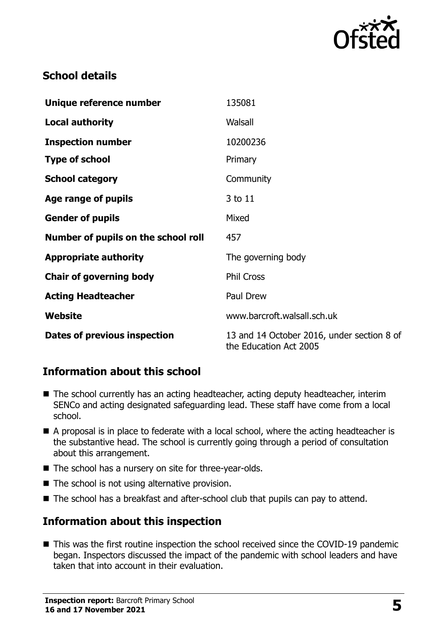

# **School details**

| Unique reference number             | 135081                                                               |
|-------------------------------------|----------------------------------------------------------------------|
| <b>Local authority</b>              | Walsall                                                              |
| <b>Inspection number</b>            | 10200236                                                             |
| <b>Type of school</b>               | Primary                                                              |
| <b>School category</b>              | Community                                                            |
| Age range of pupils                 | 3 to 11                                                              |
| <b>Gender of pupils</b>             | Mixed                                                                |
| Number of pupils on the school roll | 457                                                                  |
| <b>Appropriate authority</b>        | The governing body                                                   |
| <b>Chair of governing body</b>      | <b>Phil Cross</b>                                                    |
| <b>Acting Headteacher</b>           | Paul Drew                                                            |
| Website                             | www.barcroft.walsall.sch.uk                                          |
| Dates of previous inspection        | 13 and 14 October 2016, under section 8 of<br>the Education Act 2005 |

# **Information about this school**

- The school currently has an acting headteacher, acting deputy headteacher, interim SENCo and acting designated safeguarding lead. These staff have come from a local school.
- A proposal is in place to federate with a local school, where the acting headteacher is the substantive head. The school is currently going through a period of consultation about this arrangement.
- The school has a nursery on site for three-year-olds.
- $\blacksquare$  The school is not using alternative provision.
- The school has a breakfast and after-school club that pupils can pay to attend.

# **Information about this inspection**

■ This was the first routine inspection the school received since the COVID-19 pandemic began. Inspectors discussed the impact of the pandemic with school leaders and have taken that into account in their evaluation.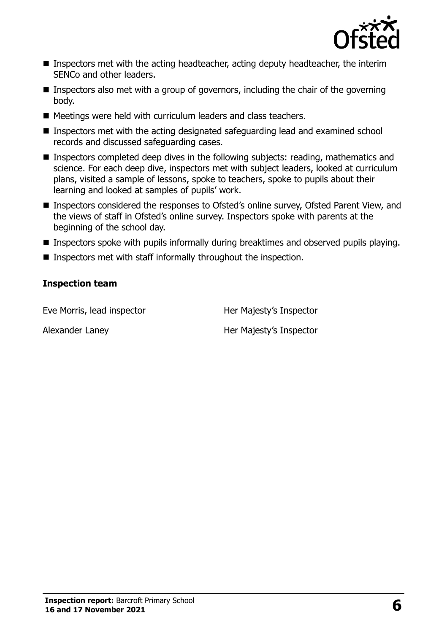

- **Inspectors met with the acting headteacher, acting deputy headteacher, the interim** SENCo and other leaders.
- **Inspectors also met with a group of governors, including the chair of the governing** body.
- Meetings were held with curriculum leaders and class teachers.
- Inspectors met with the acting designated safeguarding lead and examined school records and discussed safeguarding cases.
- Inspectors completed deep dives in the following subjects: reading, mathematics and science. For each deep dive, inspectors met with subject leaders, looked at curriculum plans, visited a sample of lessons, spoke to teachers, spoke to pupils about their learning and looked at samples of pupils' work.
- Inspectors considered the responses to Ofsted's online survey, Ofsted Parent View, and the views of staff in Ofsted's online survey. Inspectors spoke with parents at the beginning of the school day.
- Inspectors spoke with pupils informally during breaktimes and observed pupils playing.
- **Inspectors met with staff informally throughout the inspection.**

#### **Inspection team**

Eve Morris, lead inspector **Her Majesty's Inspector** 

Alexander Laney **Her Majesty's Inspector**